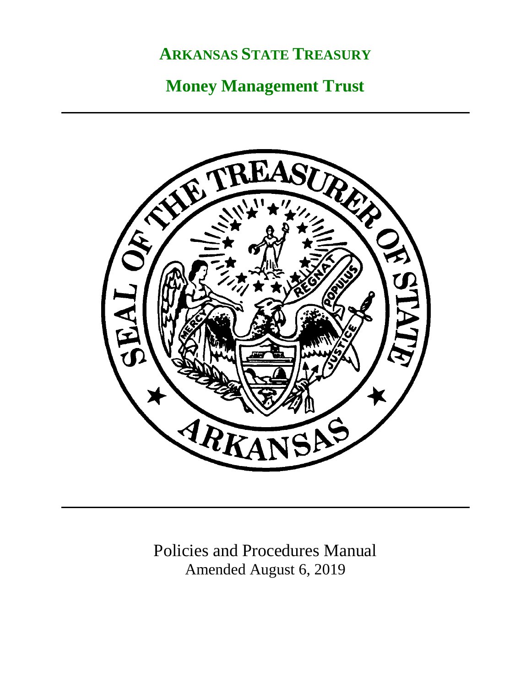# **ARKANSAS STATE TREASURY**

# **Money Management Trust**



Policies and Procedures Manual Amended August 6, 2019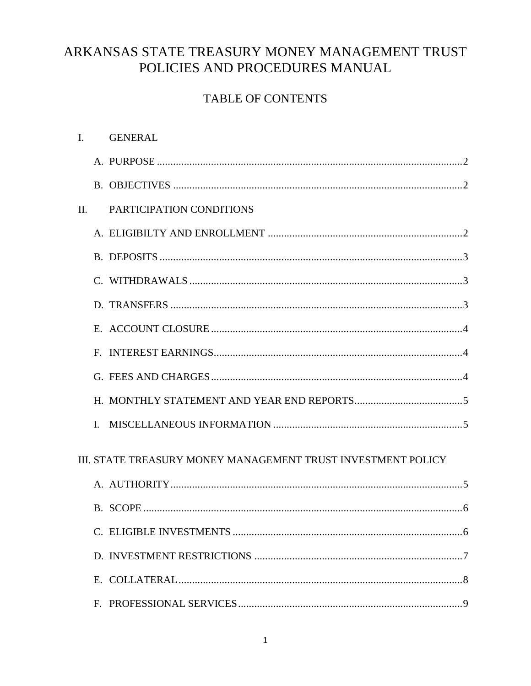# ARKANSAS STATE TREASURY MONEY MANAGEMENT TRUST POLICIES AND PROCEDURES MANUAL

### **TABLE OF CONTENTS**

| $\mathbf{I}$ .                                               |   | <b>GENERAL</b>           |
|--------------------------------------------------------------|---|--------------------------|
|                                                              |   |                          |
|                                                              |   |                          |
| $\Pi$ .                                                      |   | PARTICIPATION CONDITIONS |
|                                                              |   |                          |
|                                                              |   |                          |
|                                                              |   |                          |
|                                                              |   |                          |
|                                                              |   |                          |
|                                                              |   |                          |
|                                                              |   |                          |
|                                                              |   |                          |
|                                                              | L |                          |
|                                                              |   |                          |
| III. STATE TREASURY MONEY MANAGEMENT TRUST INVESTMENT POLICY |   |                          |
|                                                              |   |                          |
|                                                              |   |                          |
|                                                              |   |                          |
|                                                              |   |                          |
|                                                              |   |                          |
|                                                              |   |                          |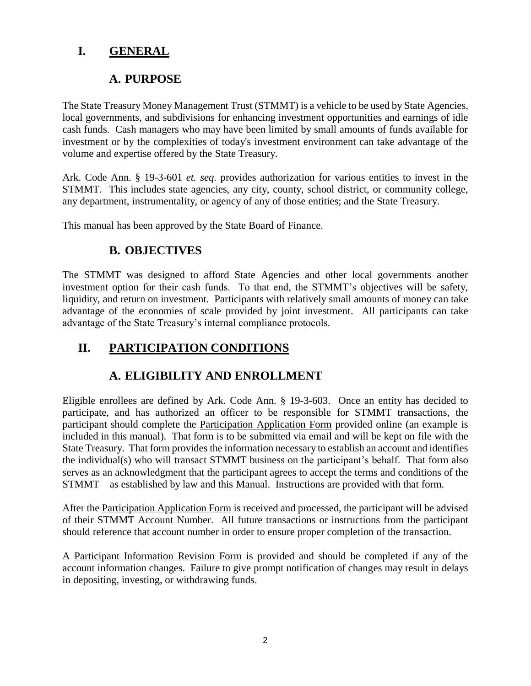#### **I. GENERAL**

#### **A. PURPOSE**

The State Treasury Money Management Trust (STMMT) is a vehicle to be used by State Agencies, local governments, and subdivisions for enhancing investment opportunities and earnings of idle cash funds. Cash managers who may have been limited by small amounts of funds available for investment or by the complexities of today's investment environment can take advantage of the volume and expertise offered by the State Treasury.

Ark. Code Ann. § 19-3-601 *et. seq.* provides authorization for various entities to invest in the STMMT. This includes state agencies, any city, county, school district, or community college, any department, instrumentality, or agency of any of those entities; and the State Treasury.

This manual has been approved by the State Board of Finance.

#### **B. OBJECTIVES**

The STMMT was designed to afford State Agencies and other local governments another investment option for their cash funds. To that end, the STMMT's objectives will be safety, liquidity, and return on investment. Participants with relatively small amounts of money can take advantage of the economies of scale provided by joint investment. All participants can take advantage of the State Treasury's internal compliance protocols.

## **II. PARTICIPATION CONDITIONS**

## **A. ELIGIBILITY AND ENROLLMENT**

Eligible enrollees are defined by Ark. Code Ann. § 19-3-603. Once an entity has decided to participate, and has authorized an officer to be responsible for STMMT transactions, the participant should complete the Participation Application Form provided online (an example is included in this manual). That form is to be submitted via email and will be kept on file with the State Treasury. That form provides the information necessary to establish an account and identifies the individual(s) who will transact STMMT business on the participant's behalf. That form also serves as an acknowledgment that the participant agrees to accept the terms and conditions of the STMMT—as established by law and this Manual. Instructions are provided with that form.

After the Participation Application Form is received and processed, the participant will be advised of their STMMT Account Number. All future transactions or instructions from the participant should reference that account number in order to ensure proper completion of the transaction.

A Participant Information Revision Form is provided and should be completed if any of the account information changes. Failure to give prompt notification of changes may result in delays in depositing, investing, or withdrawing funds.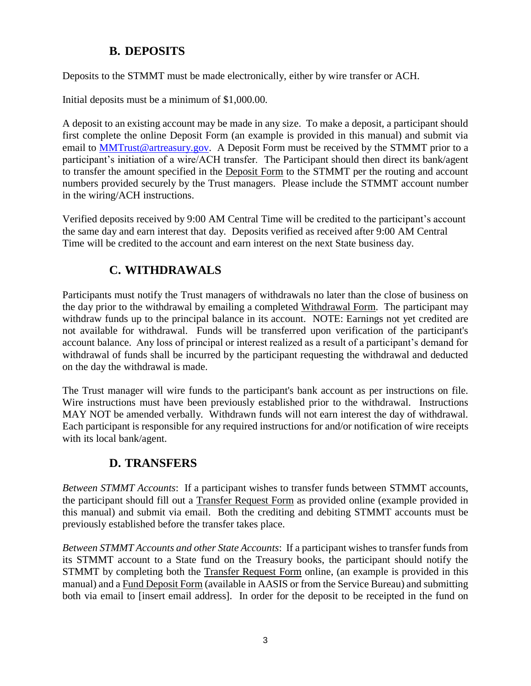#### **B. DEPOSITS**

Deposits to the STMMT must be made electronically, either by wire transfer or ACH.

Initial deposits must be a minimum of \$1,000.00.

A deposit to an existing account may be made in any size. To make a deposit, a participant should first complete the online Deposit Form (an example is provided in this manual) and submit via email to [MMTrust@artreasury.gov.](mailto:MMTrust@artreasury.gov) A Deposit Form must be received by the STMMT prior to a participant's initiation of a wire/ACH transfer. The Participant should then direct its bank/agent to transfer the amount specified in the Deposit Form to the STMMT per the routing and account numbers provided securely by the Trust managers. Please include the STMMT account number in the wiring/ACH instructions.

Verified deposits received by 9:00 AM Central Time will be credited to the participant's account the same day and earn interest that day. Deposits verified as received after 9:00 AM Central Time will be credited to the account and earn interest on the next State business day.

## **C. WITHDRAWALS**

Participants must notify the Trust managers of withdrawals no later than the close of business on the day prior to the withdrawal by emailing a completed Withdrawal Form. The participant may withdraw funds up to the principal balance in its account. NOTE: Earnings not yet credited are not available for withdrawal. Funds will be transferred upon verification of the participant's account balance. Any loss of principal or interest realized as a result of a participant's demand for withdrawal of funds shall be incurred by the participant requesting the withdrawal and deducted on the day the withdrawal is made.

The Trust manager will wire funds to the participant's bank account as per instructions on file. Wire instructions must have been previously established prior to the withdrawal. Instructions MAY NOT be amended verbally. Withdrawn funds will not earn interest the day of withdrawal. Each participant is responsible for any required instructions for and/or notification of wire receipts with its local bank/agent.

#### **D. TRANSFERS**

*Between STMMT Accounts*: If a participant wishes to transfer funds between STMMT accounts, the participant should fill out a Transfer Request Form as provided online (example provided in this manual) and submit via email. Both the crediting and debiting STMMT accounts must be previously established before the transfer takes place.

*Between STMMT Accounts and other State Accounts*: If a participant wishes to transfer funds from its STMMT account to a State fund on the Treasury books, the participant should notify the STMMT by completing both the Transfer Request Form online, (an example is provided in this manual) and a Fund Deposit Form (available in AASIS or from the Service Bureau) and submitting both via email to [insert email address]. In order for the deposit to be receipted in the fund on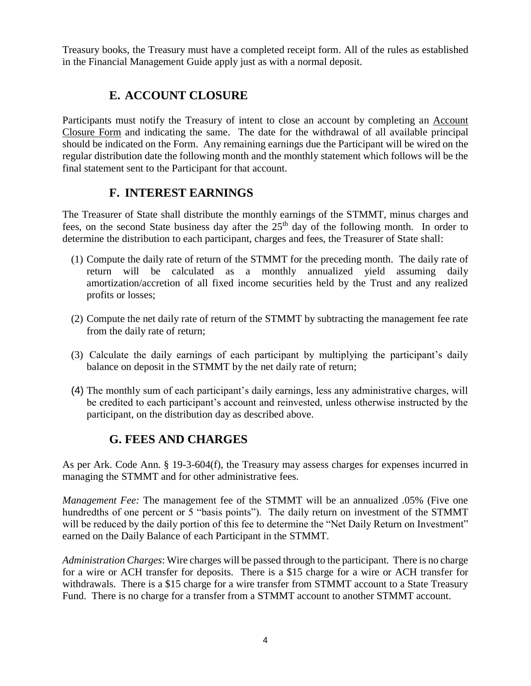Treasury books, the Treasury must have a completed receipt form. All of the rules as established in the Financial Management Guide apply just as with a normal deposit.

#### **E. ACCOUNT CLOSURE**

Participants must notify the Treasury of intent to close an account by completing an Account Closure Form and indicating the same. The date for the withdrawal of all available principal should be indicated on the Form. Any remaining earnings due the Participant will be wired on the regular distribution date the following month and the monthly statement which follows will be the final statement sent to the Participant for that account.

#### **F. INTEREST EARNINGS**

The Treasurer of State shall distribute the monthly earnings of the STMMT, minus charges and fees, on the second State business day after the  $25<sup>th</sup>$  day of the following month. In order to determine the distribution to each participant, charges and fees, the Treasurer of State shall:

- (1) Compute the daily rate of return of the STMMT for the preceding month. The daily rate of return will be calculated as a monthly annualized yield assuming daily amortization/accretion of all fixed income securities held by the Trust and any realized profits or losses;
- (2) Compute the net daily rate of return of the STMMT by subtracting the management fee rate from the daily rate of return;
- (3) Calculate the daily earnings of each participant by multiplying the participant's daily balance on deposit in the STMMT by the net daily rate of return;
- (4) The monthly sum of each participant's daily earnings, less any administrative charges, will be credited to each participant's account and reinvested, unless otherwise instructed by the participant, on the distribution day as described above.

#### **G. FEES AND CHARGES**

As per Ark. Code Ann. § 19-3-604(f), the Treasury may assess charges for expenses incurred in managing the STMMT and for other administrative fees.

*Management Fee:* The management fee of the STMMT will be an annualized .05% (Five one hundredths of one percent or 5 "basis points"). The daily return on investment of the STMMT will be reduced by the daily portion of this fee to determine the "Net Daily Return on Investment" earned on the Daily Balance of each Participant in the STMMT.

*Administration Charges*: Wire charges will be passed through to the participant. There is no charge for a wire or ACH transfer for deposits. There is a \$15 charge for a wire or ACH transfer for withdrawals. There is a \$15 charge for a wire transfer from STMMT account to a State Treasury Fund. There is no charge for a transfer from a STMMT account to another STMMT account.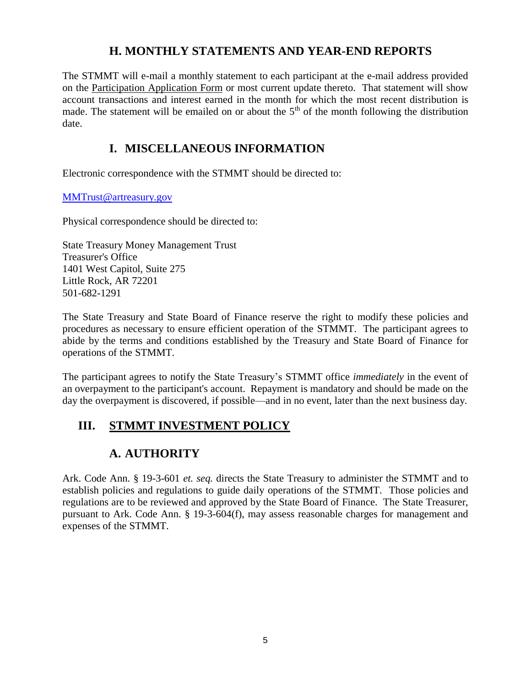#### **H. MONTHLY STATEMENTS AND YEAR-END REPORTS**

The STMMT will e-mail a monthly statement to each participant at the e-mail address provided on the Participation Application Form or most current update thereto. That statement will show account transactions and interest earned in the month for which the most recent distribution is made. The statement will be emailed on or about the  $5<sup>th</sup>$  of the month following the distribution date.

### **I. MISCELLANEOUS INFORMATION**

Electronic correspondence with the STMMT should be directed to:

[MMTrust@artreasury.gov](mailto:MMTrust@artreasury.gov)

Physical correspondence should be directed to:

State Treasury Money Management Trust Treasurer's Office 1401 West Capitol, Suite 275 Little Rock, AR 72201 501-682-1291

The State Treasury and State Board of Finance reserve the right to modify these policies and procedures as necessary to ensure efficient operation of the STMMT. The participant agrees to abide by the terms and conditions established by the Treasury and State Board of Finance for operations of the STMMT.

The participant agrees to notify the State Treasury's STMMT office *immediately* in the event of an overpayment to the participant's account. Repayment is mandatory and should be made on the day the overpayment is discovered, if possible—and in no event, later than the next business day.

# **III. STMMT INVESTMENT POLICY**

# **A. AUTHORITY**

Ark. Code Ann. § 19-3-601 *et. seq.* directs the State Treasury to administer the STMMT and to establish policies and regulations to guide daily operations of the STMMT. Those policies and regulations are to be reviewed and approved by the State Board of Finance. The State Treasurer, pursuant to Ark. Code Ann. § 19-3-604(f), may assess reasonable charges for management and expenses of the STMMT.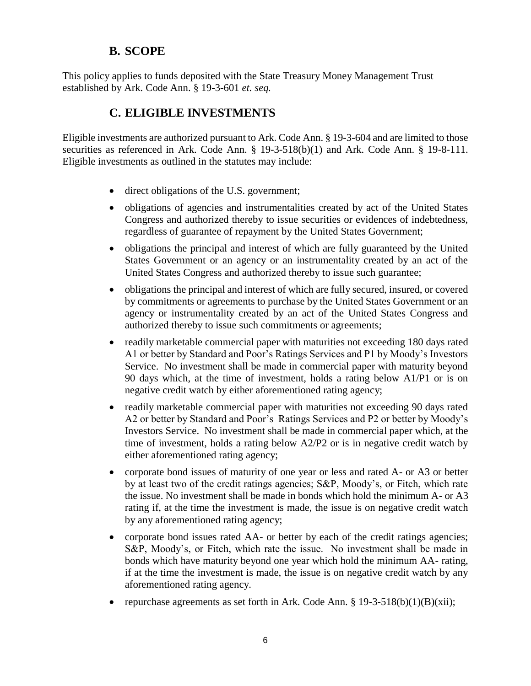#### **B. SCOPE**

This policy applies to funds deposited with the State Treasury Money Management Trust established by Ark. Code Ann. § 19-3-601 *et. seq.*

#### **C. ELIGIBLE INVESTMENTS**

Eligible investments are authorized pursuant to Ark. Code Ann. § 19-3-604 and are limited to those securities as referenced in Ark. Code Ann. § 19-3-518(b)(1) and Ark. Code Ann. § 19-8-111. Eligible investments as outlined in the statutes may include:

- direct obligations of the U.S. government;
- obligations of agencies and instrumentalities created by act of the United States Congress and authorized thereby to issue securities or evidences of indebtedness, regardless of guarantee of repayment by the United States Government;
- obligations the principal and interest of which are fully guaranteed by the United States Government or an agency or an instrumentality created by an act of the United States Congress and authorized thereby to issue such guarantee;
- obligations the principal and interest of which are fully secured, insured, or covered by commitments or agreements to purchase by the United States Government or an agency or instrumentality created by an act of the United States Congress and authorized thereby to issue such commitments or agreements;
- readily marketable commercial paper with maturities not exceeding 180 days rated A1 or better by Standard and Poor's Ratings Services and P1 by Moody's Investors Service. No investment shall be made in commercial paper with maturity beyond 90 days which, at the time of investment, holds a rating below A1/P1 or is on negative credit watch by either aforementioned rating agency;
- readily marketable commercial paper with maturities not exceeding 90 days rated A2 or better by Standard and Poor's Ratings Services and P2 or better by Moody's Investors Service. No investment shall be made in commercial paper which, at the time of investment, holds a rating below A2/P2 or is in negative credit watch by either aforementioned rating agency;
- corporate bond issues of maturity of one year or less and rated A- or A3 or better by at least two of the credit ratings agencies; S&P, Moody's, or Fitch, which rate the issue. No investment shall be made in bonds which hold the minimum A- or A3 rating if, at the time the investment is made, the issue is on negative credit watch by any aforementioned rating agency;
- corporate bond issues rated AA- or better by each of the credit ratings agencies; S&P, Moody's, or Fitch, which rate the issue. No investment shall be made in bonds which have maturity beyond one year which hold the minimum AA- rating, if at the time the investment is made, the issue is on negative credit watch by any aforementioned rating agency.
- repurchase agreements as set forth in Ark. Code Ann. §  $19-3-518(b)(1)(B)(xii)$ ;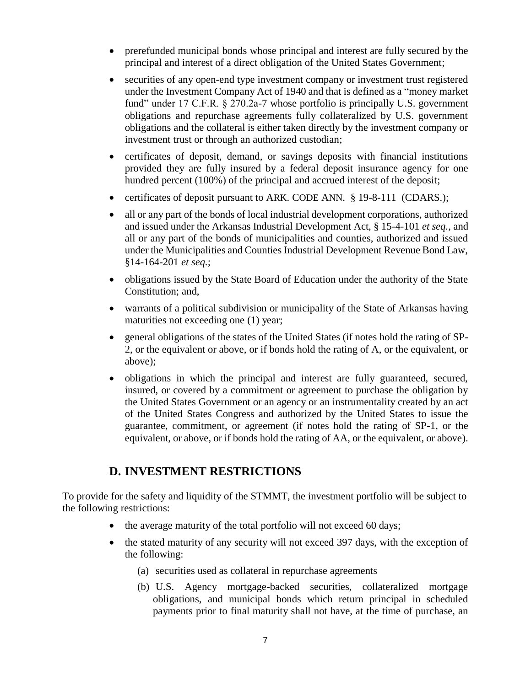- prerefunded municipal bonds whose principal and interest are fully secured by the principal and interest of a direct obligation of the United States Government;
- securities of any open-end type investment company or investment trust registered under the Investment Company Act of 1940 and that is defined as a "money market fund" under 17 C.F.R. § 270.2a-7 whose portfolio is principally U.S. government obligations and repurchase agreements fully collateralized by U.S. government obligations and the collateral is either taken directly by the investment company or investment trust or through an authorized custodian;
- certificates of deposit, demand, or savings deposits with financial institutions provided they are fully insured by a federal deposit insurance agency for one hundred percent (100%) of the principal and accrued interest of the deposit;
- certificates of deposit pursuant to ARK. CODE ANN. § 19-8-111 (CDARS.);
- all or any part of the bonds of local industrial development corporations, authorized and issued under the Arkansas Industrial Development Act, § 15-4-101 *et seq.*, and all or any part of the bonds of municipalities and counties, authorized and issued under the Municipalities and Counties Industrial Development Revenue Bond Law, §14-164-201 *et seq.*;
- obligations issued by the State Board of Education under the authority of the State Constitution; and,
- warrants of a political subdivision or municipality of the State of Arkansas having maturities not exceeding one (1) year;
- general obligations of the states of the United States (if notes hold the rating of SP-2, or the equivalent or above, or if bonds hold the rating of A, or the equivalent, or above);
- obligations in which the principal and interest are fully guaranteed, secured, insured, or covered by a commitment or agreement to purchase the obligation by the United States Government or an agency or an instrumentality created by an act of the United States Congress and authorized by the United States to issue the guarantee, commitment, or agreement (if notes hold the rating of SP-1, or the equivalent, or above, or if bonds hold the rating of AA, or the equivalent, or above).

#### **D. INVESTMENT RESTRICTIONS**

To provide for the safety and liquidity of the STMMT, the investment portfolio will be subject to the following restrictions:

- the average maturity of the total portfolio will not exceed 60 days;
- the stated maturity of any security will not exceed 397 days, with the exception of the following:
	- (a) securities used as collateral in repurchase agreements
	- (b) U.S. Agency mortgage-backed securities, collateralized mortgage obligations, and municipal bonds which return principal in scheduled payments prior to final maturity shall not have, at the time of purchase, an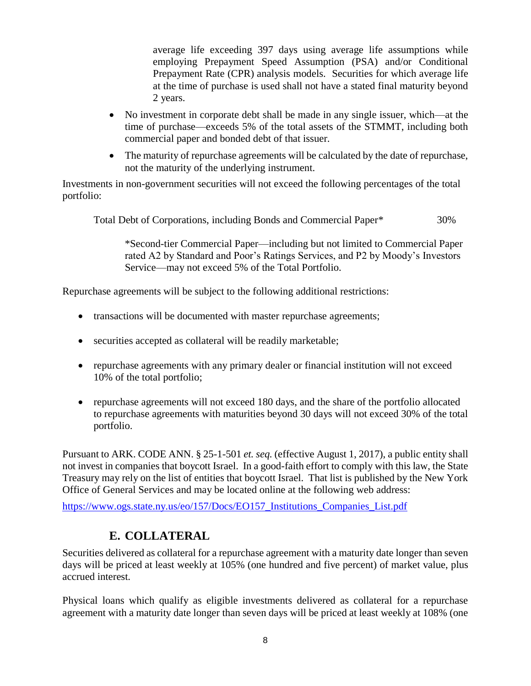average life exceeding 397 days using average life assumptions while employing Prepayment Speed Assumption (PSA) and/or Conditional Prepayment Rate (CPR) analysis models. Securities for which average life at the time of purchase is used shall not have a stated final maturity beyond 2 years.

- No investment in corporate debt shall be made in any single issuer, which—at the time of purchase—exceeds 5% of the total assets of the STMMT, including both commercial paper and bonded debt of that issuer.
- The maturity of repurchase agreements will be calculated by the date of repurchase, not the maturity of the underlying instrument.

Investments in non-government securities will not exceed the following percentages of the total portfolio:

Total Debt of Corporations, including Bonds and Commercial Paper\* 30%

\*Second-tier Commercial Paper—including but not limited to Commercial Paper rated A2 by Standard and Poor's Ratings Services, and P2 by Moody's Investors Service—may not exceed 5% of the Total Portfolio.

Repurchase agreements will be subject to the following additional restrictions:

- transactions will be documented with master repurchase agreements;
- securities accepted as collateral will be readily marketable;
- repurchase agreements with any primary dealer or financial institution will not exceed 10% of the total portfolio;
- repurchase agreements will not exceed 180 days, and the share of the portfolio allocated to repurchase agreements with maturities beyond 30 days will not exceed 30% of the total portfolio.

Pursuant to ARK. CODE ANN. § 25-1-501 *et. seq.* (effective August 1, 2017), a public entity shall not invest in companies that boycott Israel. In a good-faith effort to comply with this law, the State Treasury may rely on the list of entities that boycott Israel. That list is published by the New York Office of General Services and may be located online at the following web address:

[https://www.ogs.state.ny.us/eo/157/Docs/EO157\\_Institutions\\_Companies\\_List.pdf](https://www.ogs.state.ny.us/eo/157/Docs/EO157_Institutions_Companies_List.pdf)

#### **E. COLLATERAL**

Securities delivered as collateral for a repurchase agreement with a maturity date longer than seven days will be priced at least weekly at 105% (one hundred and five percent) of market value, plus accrued interest.

Physical loans which qualify as eligible investments delivered as collateral for a repurchase agreement with a maturity date longer than seven days will be priced at least weekly at 108% (one